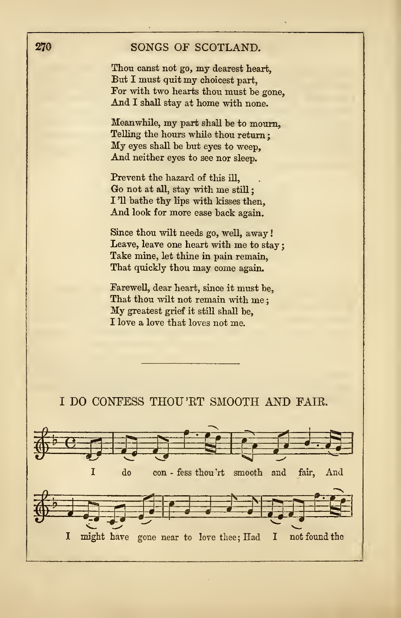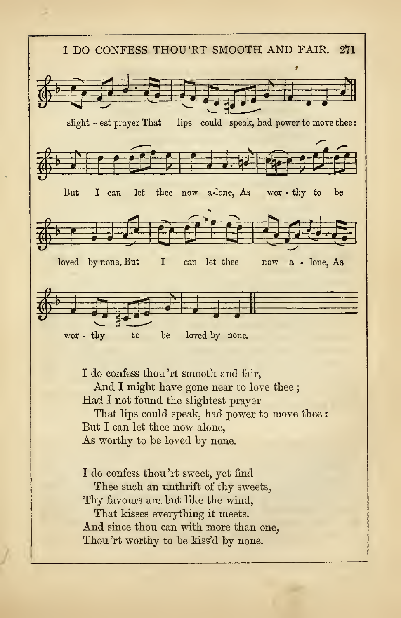

I do confess thou'rt smooth and fair, And <sup>I</sup> might have gone near to love thee ; Had <sup>I</sup> not found the slightest prayer That lips could speak, had power to move thee :

But I can let thee now alone, As worthy to be loved by none.

I do confess thou 'rt sweet, yet find

Thee such an unthrift of thy sweets,

Thy favours are but like the wind,

That kisses everything it meets. And since thou can with more than one, Thou'rt worthy to be kiss'd by none.